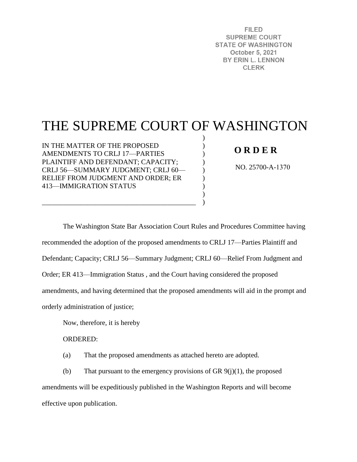**FILED SUPREME COURT STATE OF WASHINGTON** October 5, 2021 **BY ERIN L. LENNON CLERK** 

# THE SUPREME COURT OF WASHINGTON

) ) )  $\mathcal{L}$ ) ) ) ) )

IN THE MATTER OF THE PROPOSED AMENDMENTS TO CRLJ 17—PARTIES PLAINTIFF AND DEFENDANT; CAPACITY; CRLJ 56—SUMMARY JUDGMENT; CRLJ 60— RELIEF FROM JUDGMENT AND ORDER; ER 413—IMMIGRATION STATUS

\_\_\_\_\_\_\_\_\_\_\_\_\_\_\_\_\_\_\_\_\_\_\_\_\_\_\_\_\_\_\_\_\_\_\_\_\_\_\_\_\_\_\_\_

# **O R D E R**

NO. 25700-A-1370

The Washington State Bar Association Court Rules and Procedures Committee having recommended the adoption of the proposed amendments to CRLJ 17—Parties Plaintiff and Defendant; Capacity; CRLJ 56—Summary Judgment; CRLJ 60—Relief From Judgment and Order; ER 413—Immigration Status , and the Court having considered the proposed amendments, and having determined that the proposed amendments will aid in the prompt and orderly administration of justice;

Now, therefore, it is hereby

ORDERED:

(a) That the proposed amendments as attached hereto are adopted.

(b) That pursuant to the emergency provisions of GR  $9(j)(1)$ , the proposed amendments will be expeditiously published in the Washington Reports and will become effective upon publication.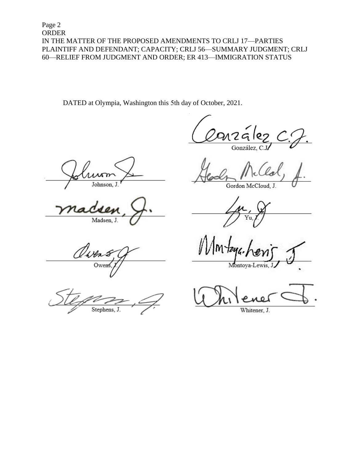Page 2 ORDER IN THE MATTER OF THE PROPOSED AMENDMENTS TO CRLJ 17—PARTIES PLAINTIFF AND DEFENDANT; CAPACITY; CRLJ 56—SUMMARY JUDGMENT; CRLJ 60—RELIEF FROM JUDGMENT AND ORDER; ER 413—IMMIGRATION STATUS

DATED at Olympia, Washington this 5th day of October, 2021.

ห291 o.

González, C.

Johnson, J

Madsen, J.

1 jer Owen

Stephens, J.

Gordon McCloud, J.

Montoya-Lewis,

Whitener, J.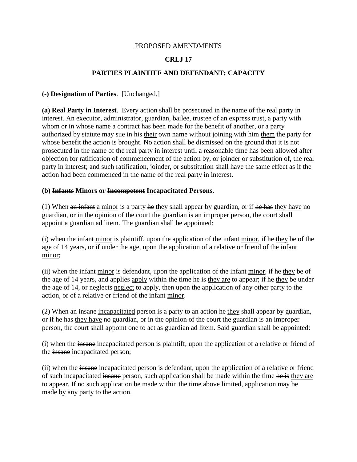#### PROPOSED AMENDMENTS

## **CRLJ 17**

### **PARTIES PLAINTIFF AND DEFENDANT; CAPACITY**

#### **(-) Designation of Parties**. [Unchanged.]

**(a) Real Party in Interest**. Every action shall be prosecuted in the name of the real party in interest. An executor, administrator, guardian, bailee, trustee of an express trust, a party with whom or in whose name a contract has been made for the benefit of another, or a party authorized by statute may sue in his their own name without joining with him them the party for whose benefit the action is brought. No action shall be dismissed on the ground that it is not prosecuted in the name of the real party in interest until a reasonable time has been allowed after objection for ratification of commencement of the action by, or joinder or substitution of, the real party in interest; and such ratification, joinder, or substitution shall have the same effect as if the action had been commenced in the name of the real party in interest.

#### **(b) Infants Minors or Incompetent Incapacitated Persons**.

(1) When  $\theta$  and infant a minor is a party he they shall appear by guardian, or if he has they have no guardian, or in the opinion of the court the guardian is an improper person, the court shall appoint a guardian ad litem. The guardian shall be appointed:

 $(i)$  when the infant minor is plaintiff, upon the application of the infant minor, if he they be of the age of 14 years, or if under the age, upon the application of a relative or friend of the infant minor;

(ii) when the infant minor is defendant, upon the application of the infant minor, if he they be of the age of 14 years, and applies apply within the time he is they are to appear; if he they be under the age of 14, or neglects neglect to apply, then upon the application of any other party to the action, or of a relative or friend of the infant minor.

(2) When an insane incapacitated person is a party to an action he they shall appear by guardian, or if he has they have no guardian, or in the opinion of the court the guardian is an improper person, the court shall appoint one to act as guardian ad litem. Said guardian shall be appointed:

(i) when the insane incapacitated person is plaintiff, upon the application of a relative or friend of the insane incapacitated person;

(ii) when the insane incapacitated person is defendant, upon the application of a relative or friend of such incapacitated insane person, such application shall be made within the time he is they are to appear. If no such application be made within the time above limited, application may be made by any party to the action.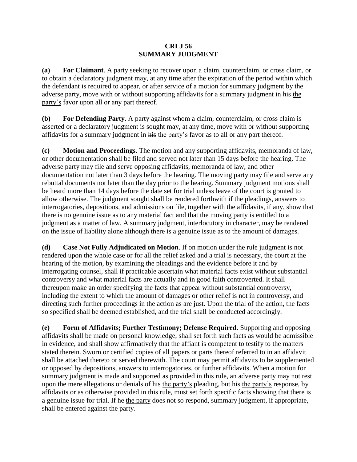#### **CRLJ 56 SUMMARY JUDGMENT**

**(a) For Claimant**. A party seeking to recover upon a claim, counterclaim, or cross claim, or to obtain a declaratory judgment may, at any time after the expiration of the period within which the defendant is required to appear, or after service of a motion for summary judgment by the adverse party, move with or without supporting affidavits for a summary judgment in his the party's favor upon all or any part thereof.

**(b) For Defending Party**. A party against whom a claim, counterclaim, or cross claim is asserted or a declaratory judgment is sought may, at any time, move with or without supporting affidavits for a summary judgment in his the party's favor as to all or any part thereof.

**(c) Motion and Proceedings**. The motion and any supporting affidavits, memoranda of law, or other documentation shall be filed and served not later than 15 days before the hearing. The adverse party may file and serve opposing affidavits, memoranda of law, and other documentation not later than 3 days before the hearing. The moving party may file and serve any rebuttal documents not later than the day prior to the hearing. Summary judgment motions shall be heard more than 14 days before the date set for trial unless leave of the court is granted to allow otherwise. The judgment sought shall be rendered forthwith if the pleadings, answers to interrogatories, depositions, and admissions on file, together with the affidavits, if any, show that there is no genuine issue as to any material fact and that the moving party is entitled to a judgment as a matter of law. A summary judgment, interlocutory in character, may be rendered on the issue of liability alone although there is a genuine issue as to the amount of damages.

**(d) Case Not Fully Adjudicated on Motion**. If on motion under the rule judgment is not rendered upon the whole case or for all the relief asked and a trial is necessary, the court at the hearing of the motion, by examining the pleadings and the evidence before it and by interrogating counsel, shall if practicable ascertain what material facts exist without substantial controversy and what material facts are actually and in good faith controverted. It shall thereupon make an order specifying the facts that appear without substantial controversy, including the extent to which the amount of damages or other relief is not in controversy, and directing such further proceedings in the action as are just. Upon the trial of the action, the facts so specified shall be deemed established, and the trial shall be conducted accordingly.

**(e) Form of Affidavits; Further Testimony; Defense Required**. Supporting and opposing affidavits shall be made on personal knowledge, shall set forth such facts as would be admissible in evidence, and shall show affirmatively that the affiant is competent to testify to the matters stated therein. Sworn or certified copies of all papers or parts thereof referred to in an affidavit shall be attached thereto or served therewith. The court may permit affidavits to be supplemented or opposed by depositions, answers to interrogatories, or further affidavits. When a motion for summary judgment is made and supported as provided in this rule, an adverse party may not rest upon the mere allegations or denials of his the party's pleading, but his the party's response, by affidavits or as otherwise provided in this rule, must set forth specific facts showing that there is a genuine issue for trial. If he the party does not so respond, summary judgment, if appropriate, shall be entered against the party.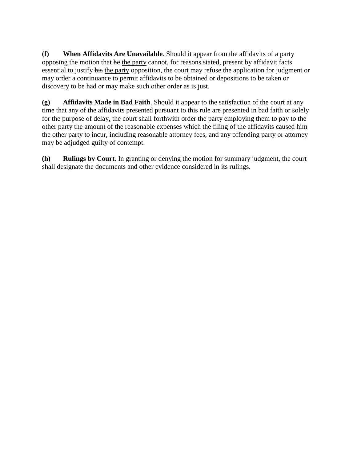**(f) When Affidavits Are Unavailable**. Should it appear from the affidavits of a party opposing the motion that he the party cannot, for reasons stated, present by affidavit facts essential to justify his the party opposition, the court may refuse the application for judgment or may order a continuance to permit affidavits to be obtained or depositions to be taken or discovery to be had or may make such other order as is just.

**(g) Affidavits Made in Bad Faith**. Should it appear to the satisfaction of the court at any time that any of the affidavits presented pursuant to this rule are presented in bad faith or solely for the purpose of delay, the court shall forthwith order the party employing them to pay to the other party the amount of the reasonable expenses which the filing of the affidavits caused him the other party to incur, including reasonable attorney fees, and any offending party or attorney may be adjudged guilty of contempt.

**(h) Rulings by Court**. In granting or denying the motion for summary judgment, the court shall designate the documents and other evidence considered in its rulings.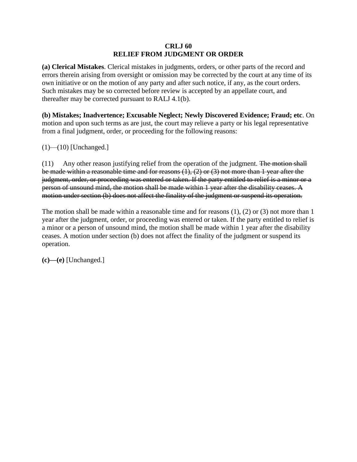#### **CRLJ 60 RELIEF FROM JUDGMENT OR ORDER**

**(a) Clerical Mistakes**. Clerical mistakes in judgments, orders, or other parts of the record and errors therein arising from oversight or omission may be corrected by the court at any time of its own initiative or on the motion of any party and after such notice, if any, as the court orders. Such mistakes may be so corrected before review is accepted by an appellate court, and thereafter may be corrected pursuant to RALJ 4.1(b).

**(b) Mistakes; Inadvertence; Excusable Neglect; Newly Discovered Evidence; Fraud; etc**. On motion and upon such terms as are just, the court may relieve a party or his legal representative from a final judgment, order, or proceeding for the following reasons:

 $(1)$ — $(10)$  [Unchanged.]

(11) Any other reason justifying relief from the operation of the judgment. The motion shall be made within a reasonable time and for reasons (1), (2) or (3) not more than 1 year after the judgment, order, or proceeding was entered or taken. If the party entitled to relief is a minor or a person of unsound mind, the motion shall be made within 1 year after the disability ceases. A motion under section (b) does not affect the finality of the judgment or suspend its operation.

The motion shall be made within a reasonable time and for reasons (1), (2) or (3) not more than 1 year after the judgment, order, or proceeding was entered or taken. If the party entitled to relief is a minor or a person of unsound mind, the motion shall be made within 1 year after the disability ceases. A motion under section (b) does not affect the finality of the judgment or suspend its operation.

**(c)—(e)** [Unchanged.]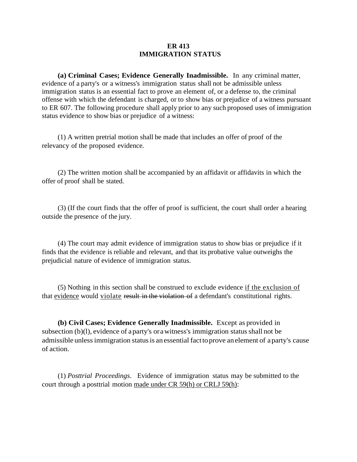#### **ER 413 IMMIGRATION STATUS**

**(a) Criminal Cases; Evidence Generally Inadmissible.** In any criminal matter, evidence of a party's or a witness's immigration status shall not be admissible unless immigration status is an essential fact to prove an element of, or a defense to, the criminal offense with which the defendant is charged, or to show bias or prejudice of a witness pursuant to ER 607. The following procedure shall apply prior to any such proposed uses of immigration status evidence to show bias or prejudice of a witness:

(1) A written pretrial motion shall be made that includes an offer of proof of the relevancy of the proposed evidence.

(2) The written motion shall be accompanied by an affidavit or affidavits in which the offer of proof shall be stated.

(3) (If the court finds that the offer of proof is sufficient, the court shall order a hearing outside the presence of the jury.

(4) The court may admit evidence of immigration status to show bias or prejudice if it finds that the evidence is reliable and relevant, and that its probative value outweighs the prejudicial nature of evidence of immigration status.

(5) Nothing in this section shall be construed to exclude evidence if the exclusion of that evidence would violate result in the violation of a defendant's constitutional rights.

**(b) Civil Cases; Evidence Generally Inadmissible.** Except as provided in subsection (b)(l), evidence of a party's or a witness's immigration status shall not be admissible unlessimmigration statusis an essential facttoprove an element of a party's cause of action.

(1) *Posttrial Proceedings*. Evidence of immigration status may be submitted to the court through a posttrial motion made under CR 59(h) or CRLJ 59(h):